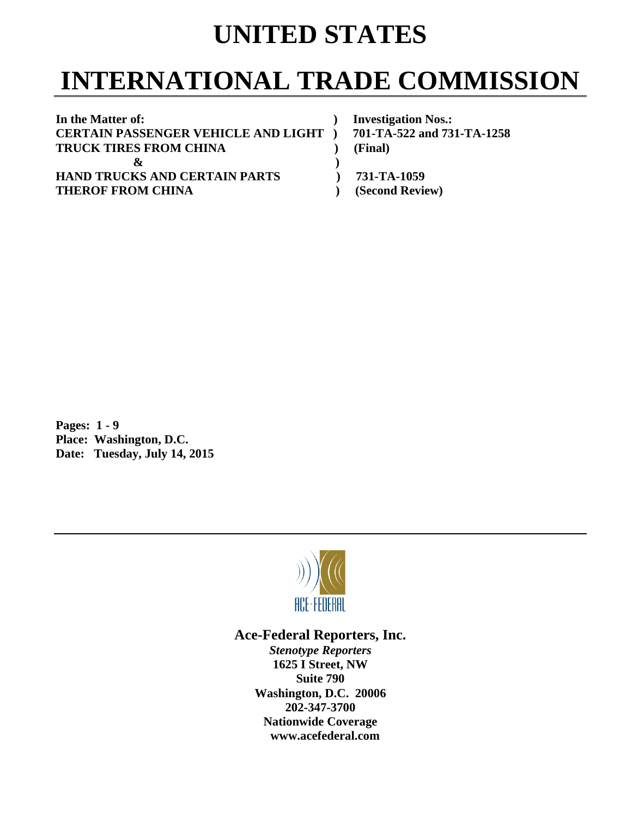## **UNITED STATES**

# **INTERNATIONAL TRADE COMMISSION**

In the Matter of: *In the Matter of: Physical Construction Nos.: Physical Construction Nos.:* **CERTAIN PASSENGER VEHICLE AND LIGHT ) 701-TA-522 and 731-TA-1258 TRUCK TIRES FROM CHINA ) (Final) &** ) **HAND TRUCKS AND CERTAIN PARTS ) 731-TA-1059 THEROF FROM CHINA** (Second Review)

**Pages: 1 - 9 Place: Washington, D.C. Date: Tuesday, July 14, 2015** 



### **Ace-Federal Reporters, Inc.**

*Stenotype Reporters*  **1625 I Street, NW Suite 790 Washington, D.C. 20006 202-347-3700 Nationwide Coverage www.acefederal.com**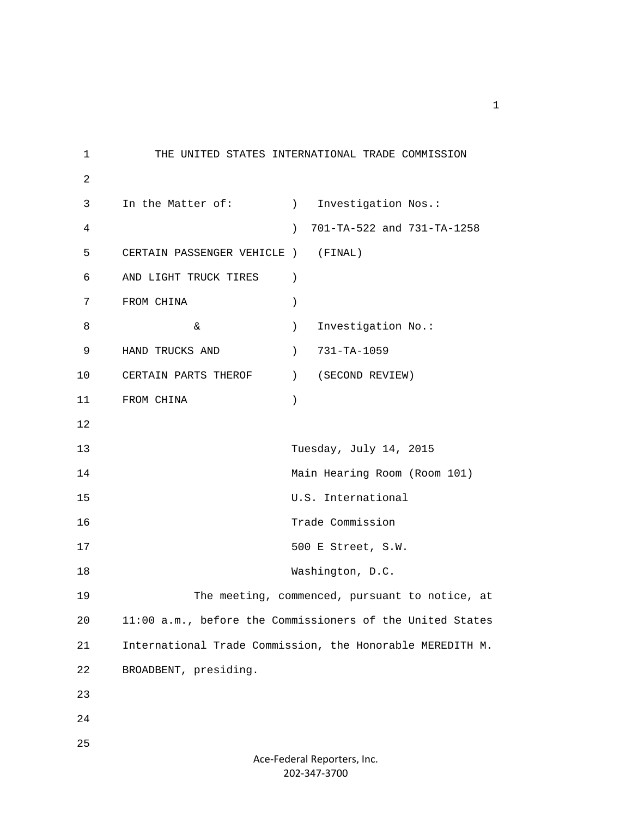1 THE UNITED STATES INTERNATIONAL TRADE COMMISSION 2 3 In the Matter of: (a) Investigation Nos.: 4 ) 701-TA-522 and 731-TA-1258 5 CERTAIN PASSENGER VEHICLE ) (FINAL) 6 AND LIGHT TRUCK TIRES ) 7 FROM CHINA ) 8 & ) Investigation No.: 9 HAND TRUCKS AND ) 731-TA-1059 10 CERTAIN PARTS THEROF ) (SECOND REVIEW) 11 FROM CHINA ) 12 13 Tuesday, July 14, 2015 14 Main Hearing Room (Room 101) 15 U.S. International 16 Trade Commission 17 500 E Street, S.W. 18 Washington, D.C. 19 The meeting, commenced, pursuant to notice, at 20 11:00 a.m., before the Commissioners of the United States 21 International Trade Commission, the Honorable MEREDITH M. 22 BROADBENT, presiding. 23 24 25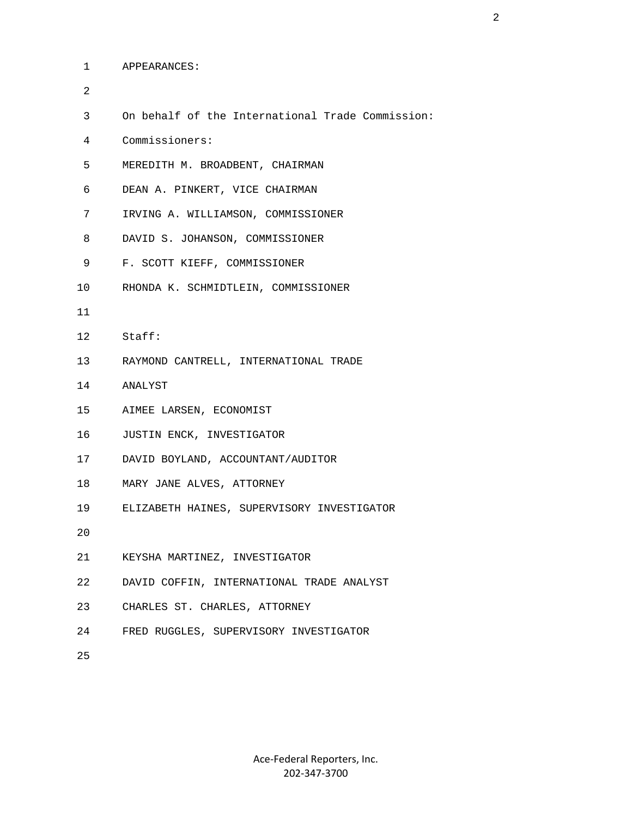|    |             | 1 APPEARANCES:                                   |
|----|-------------|--------------------------------------------------|
|    | 2           |                                                  |
|    | 3           | On behalf of the International Trade Commission: |
|    | $4^{\circ}$ | Commissioners:                                   |
|    | 5           | MEREDITH M. BROADBENT, CHAIRMAN                  |
|    | 6           | DEAN A. PINKERT, VICE CHAIRMAN                   |
|    | 7           | IRVING A. WILLIAMSON, COMMISSIONER               |
|    | 8           | DAVID S. JOHANSON, COMMISSIONER                  |
|    | 9           | F. SCOTT KIEFF, COMMISSIONER                     |
|    | 10          | RHONDA K. SCHMIDTLEIN, COMMISSIONER              |
| 11 |             |                                                  |
|    |             | 12 Staff:                                        |
|    |             | 13 RAYMOND CANTRELL, INTERNATIONAL TRADE         |
|    |             | 14 ANALYST                                       |
|    |             | 15 AIMEE LARSEN, ECONOMIST                       |
|    |             | JUSTIN ENCK, INVESTIGATOR                        |
|    | 17          | DAVID BOYLAND, ACCOUNTANT/AUDITOR                |
|    | 18          | MARY JANE ALVES, ATTORNEY                        |
| 19 |             | ELIZABETH HAINES, SUPERVISORY INVESTIGATOR       |
| 20 |             |                                                  |
|    | 21          | KEYSHA MARTINEZ, INVESTIGATOR                    |
|    | 22          | DAVID COFFIN, INTERNATIONAL TRADE ANALYST        |
|    | 23          | CHARLES ST. CHARLES, ATTORNEY                    |
|    | 24          | FRED RUGGLES, SUPERVISORY INVESTIGATOR           |
|    |             |                                                  |

25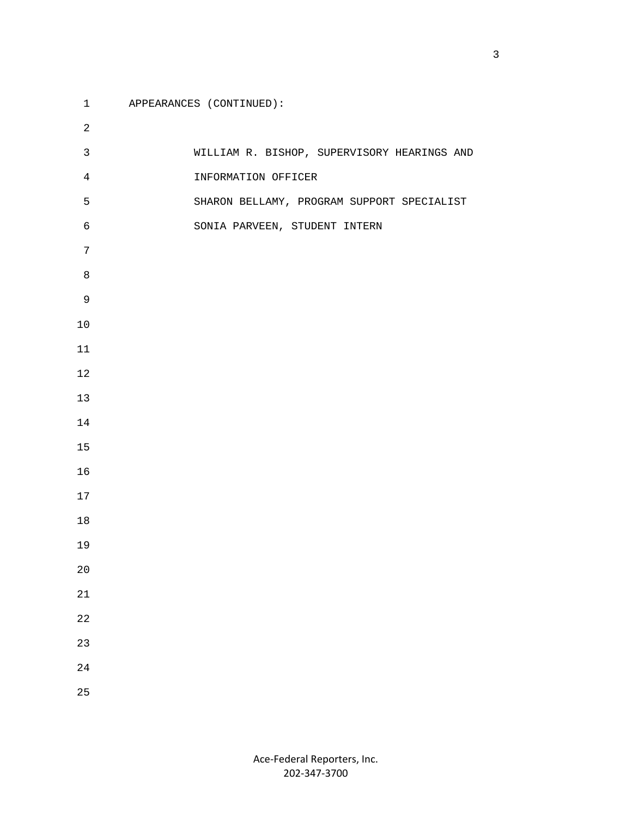### 1 APPEARANCES (CONTINUED):

| 2              |                                             |
|----------------|---------------------------------------------|
| $\mathbf{3}$   | WILLIAM R. BISHOP, SUPERVISORY HEARINGS AND |
| $\overline{4}$ | INFORMATION OFFICER                         |
| 5              | SHARON BELLAMY, PROGRAM SUPPORT SPECIALIST  |
| 6              | SONIA PARVEEN, STUDENT INTERN               |
| $7\phantom{.}$ |                                             |
| $\,8\,$        |                                             |
| $\mathsf 9$    |                                             |
| $10$           |                                             |
| $11\,$         |                                             |
| $1\,2$         |                                             |
| 13             |                                             |
| 14             |                                             |
| 15             |                                             |
| 16             |                                             |
| 17             |                                             |
| $18\,$         |                                             |
| 19             |                                             |
| $20\,$         |                                             |
| 21             |                                             |
| 22             |                                             |
| 23             |                                             |
| 24             |                                             |
| 25             |                                             |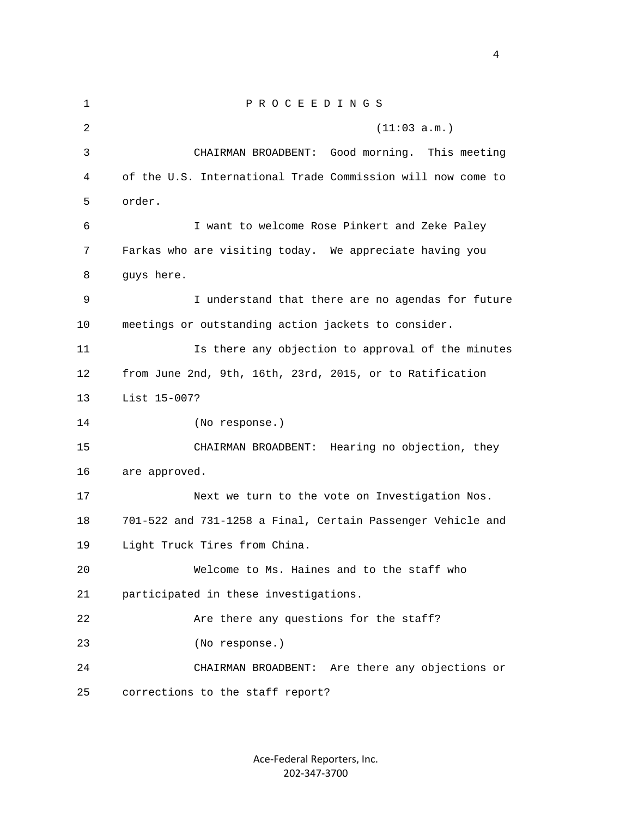1 P R O C E E D I N G S 2 (11:03 a.m.) 3 CHAIRMAN BROADBENT: Good morning. This meeting 4 of the U.S. International Trade Commission will now come to 5 order. 6 I want to welcome Rose Pinkert and Zeke Paley 7 Farkas who are visiting today. We appreciate having you 8 guys here. 9 I understand that there are no agendas for future 10 meetings or outstanding action jackets to consider. 11 Is there any objection to approval of the minutes 12 from June 2nd, 9th, 16th, 23rd, 2015, or to Ratification 13 List 15-007? 14 (No response.) 15 CHAIRMAN BROADBENT: Hearing no objection, they 16 are approved. 17 Next we turn to the vote on Investigation Nos. 18 701-522 and 731-1258 a Final, Certain Passenger Vehicle and 19 Light Truck Tires from China. 20 Welcome to Ms. Haines and to the staff who 21 participated in these investigations. 22 Are there any questions for the staff? 23 (No response.) 24 CHAIRMAN BROADBENT: Are there any objections or 25 corrections to the staff report?

> Ace‐Federal Reporters, Inc. 202‐347‐3700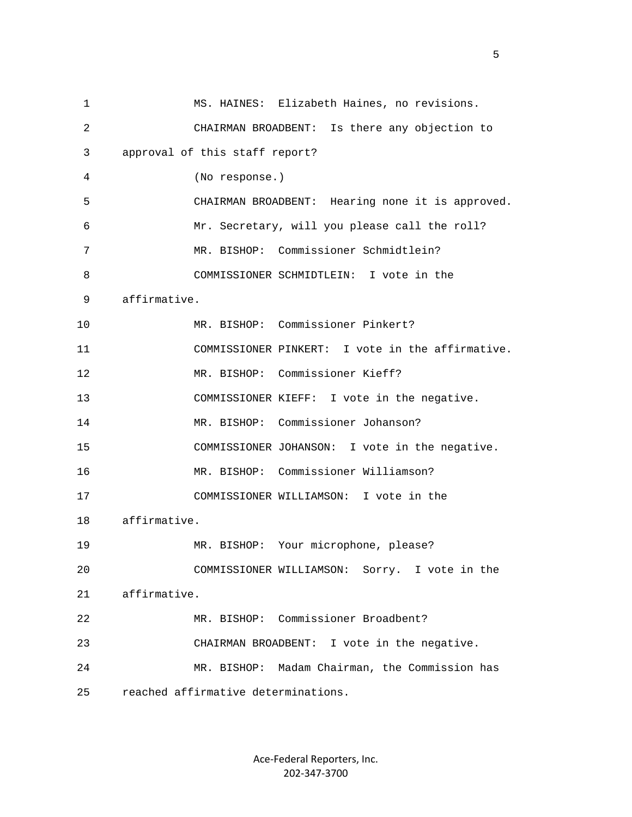1 MS. HAINES: Elizabeth Haines, no revisions. 2 CHAIRMAN BROADBENT: Is there any objection to 3 approval of this staff report? 4 (No response.) 5 CHAIRMAN BROADBENT: Hearing none it is approved. 6 Mr. Secretary, will you please call the roll? 7 MR. BISHOP: Commissioner Schmidtlein? 8 COMMISSIONER SCHMIDTLEIN: I vote in the 9 affirmative. 10 MR. BISHOP: Commissioner Pinkert? 11 COMMISSIONER PINKERT: I vote in the affirmative. 12 MR. BISHOP: Commissioner Kieff? 13 COMMISSIONER KIEFF: I vote in the negative. 14 MR. BISHOP: Commissioner Johanson? 15 COMMISSIONER JOHANSON: I vote in the negative. 16 MR. BISHOP: Commissioner Williamson? 17 COMMISSIONER WILLIAMSON: I vote in the 18 affirmative. 19 MR. BISHOP: Your microphone, please? 20 COMMISSIONER WILLIAMSON: Sorry. I vote in the 21 affirmative. 22 MR. BISHOP: Commissioner Broadbent? 23 CHAIRMAN BROADBENT: I vote in the negative. 24 MR. BISHOP: Madam Chairman, the Commission has 25 reached affirmative determinations.

> Ace‐Federal Reporters, Inc. 202‐347‐3700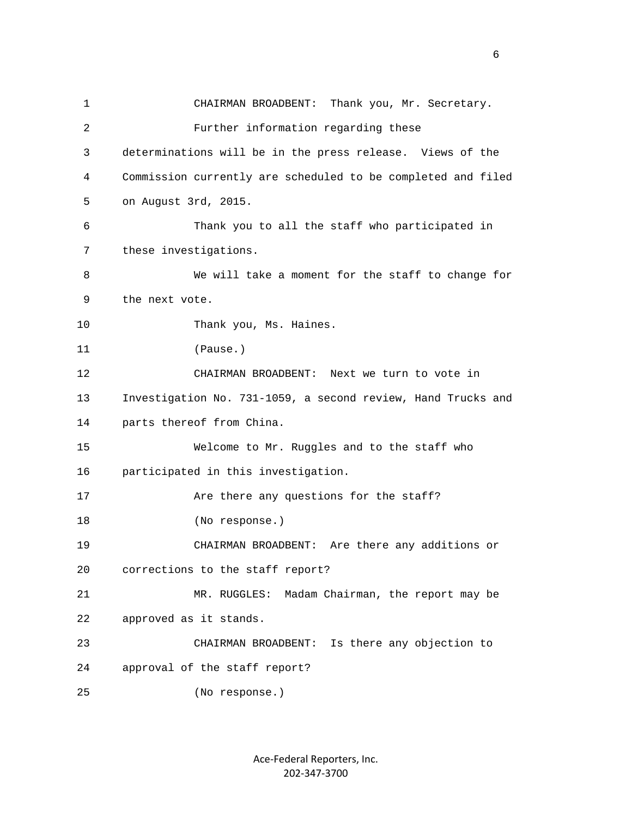1 CHAIRMAN BROADBENT: Thank you, Mr. Secretary. 2 Further information regarding these 3 determinations will be in the press release. Views of the 4 Commission currently are scheduled to be completed and filed 5 on August 3rd, 2015. 6 Thank you to all the staff who participated in 7 these investigations. 8 We will take a moment for the staff to change for 9 the next vote. 10 Thank you, Ms. Haines. 11 (Pause.) 12 CHAIRMAN BROADBENT: Next we turn to vote in 13 Investigation No. 731-1059, a second review, Hand Trucks and 14 parts thereof from China. 15 Welcome to Mr. Ruggles and to the staff who 16 participated in this investigation. 17 Are there any questions for the staff? 18 (No response.) 19 CHAIRMAN BROADBENT: Are there any additions or 20 corrections to the staff report? 21 MR. RUGGLES: Madam Chairman, the report may be 22 approved as it stands. 23 CHAIRMAN BROADBENT: Is there any objection to 24 approval of the staff report? 25 (No response.)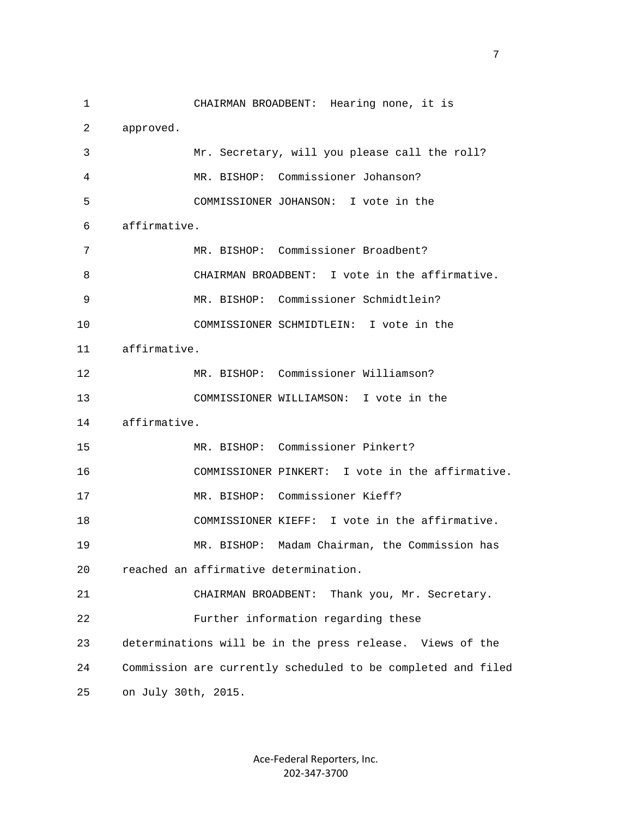1 CHAIRMAN BROADBENT: Hearing none, it is 2 approved. 3 Mr. Secretary, will you please call the roll? 4 MR. BISHOP: Commissioner Johanson? 5 COMMISSIONER JOHANSON: I vote in the 6 affirmative. 7 MR. BISHOP: Commissioner Broadbent? 8 CHAIRMAN BROADBENT: I vote in the affirmative. 9 MR. BISHOP: Commissioner Schmidtlein? 10 COMMISSIONER SCHMIDTLEIN: I vote in the 11 affirmative. 12 MR. BISHOP: Commissioner Williamson? 13 COMMISSIONER WILLIAMSON: I vote in the 14 affirmative. 15 MR. BISHOP: Commissioner Pinkert? 16 COMMISSIONER PINKERT: I vote in the affirmative. 17 MR. BISHOP: Commissioner Kieff? 18 COMMISSIONER KIEFF: I vote in the affirmative. 19 MR. BISHOP: Madam Chairman, the Commission has 20 reached an affirmative determination. 21 CHAIRMAN BROADBENT: Thank you, Mr. Secretary. 22 Further information regarding these 23 determinations will be in the press release. Views of the 24 Commission are currently scheduled to be completed and filed 25 on July 30th, 2015.

> Ace‐Federal Reporters, Inc. 202‐347‐3700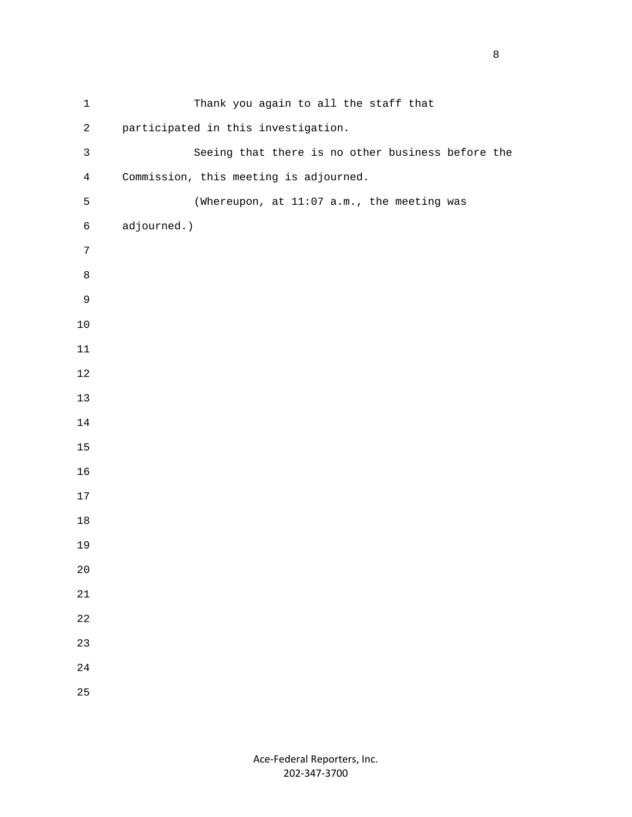| $\mathbf 1$    | Thank you again to all the staff that             |
|----------------|---------------------------------------------------|
| $\mathbf{2}$   | participated in this investigation.               |
| $\mathsf{3}$   | Seeing that there is no other business before the |
| $\overline{4}$ | Commission, this meeting is adjourned.            |
| 5              | (Whereupon, at 11:07 a.m., the meeting was        |
| $\epsilon$     | adjourned.)                                       |
| $\overline{7}$ |                                                   |
| $\,8\,$        |                                                   |
| $\mathsf 9$    |                                                   |
| $10$           |                                                   |
| 11             |                                                   |
| $12\,$         |                                                   |
| $13$           |                                                   |
| $14\,$         |                                                   |
| 15             |                                                   |
| 16             |                                                   |
| 17             |                                                   |
| 18             |                                                   |
| 19             |                                                   |
| $20\,$         |                                                   |
| 21             |                                                   |
| 22             |                                                   |
| 23             |                                                   |
| $2\sqrt{4}$    |                                                   |
| 25             |                                                   |